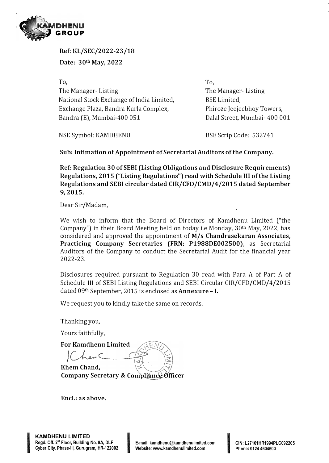

**Ref: KL/SEC/2022-23/18 Date: 30th May, 2022** 

**To,**  The Manager- Listing National Stock Exchange of India Limited, Exchange Plaza, Bandra Kurla Complex, Bandra (E), Mumbai-400 051

**To,**  The Manager- Listing BSE Limited, Phiroze Jeejeebhoy Towers, Dalal Street, Mumbai- 400 001

NSE Symbol: KAMDHENU

BSE Scrip Code: 532741

**Sub: Intimation of Appointment of Secretarial Auditors of the Company.** 

**Ref: Regulation 30 of SEBI (Listing Obligations and Disclosure Requirements) Regulations, 2015 ("Listing Regulations") read with Schedule** III **of the Listing Regulations and SEBI circular dated CIR/CFD/CMD/4/2015 dated September 9, 2015.** 

Dear Sir/Madam,

We wish to inform that the Board of Directors of Kamdhenu Limited ("the Company") in their Board Meeting held on today i.e Monday, 30th May, 2022, has considered and approved the appointment of **M/s Chandrasekaran Associates, Practicing Company Secretaries (FRN: P1988DE002500),** as Secretarial Auditors of the Company to conduct the Secretarial Audit for the financial year 2022-23.

Disclosures required pursuant to Regulation 30 read with Para A of Part A of Schedule III of SEBI Listing Regulations and SEBI Circular CIR/CFD/CMD/4/2015 dated 09th September, 2015 is enclosed as **Annexure** - I.

We request you to kindly take the same on records.

Thanking you,

Yours faithfully,

**For Kamdhenu Limited** 

**Rhem Chand, Company Secretary &** 

**Encl.: as above.** 

Incorporation and the content